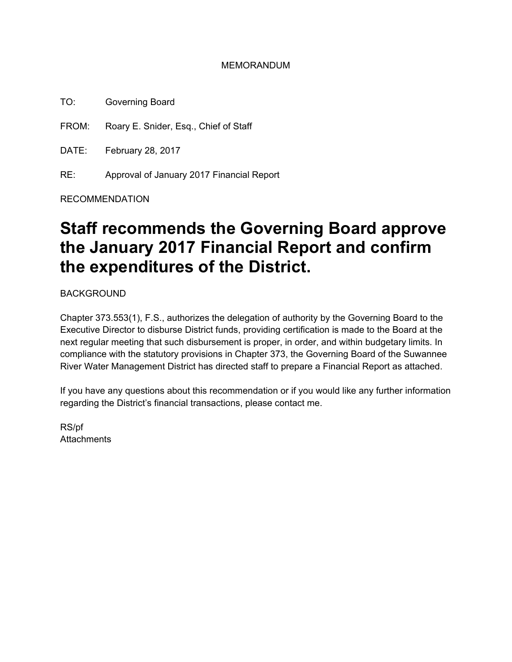#### MEMORANDUM

TO: Governing Board

FROM: Roary E. Snider, Esq., Chief of Staff

DATE: February 28, 2017

RE: Approval of January 2017 Financial Report

RECOMMENDATION

# **Staff recommends the Governing Board approve the January 2017 Financial Report and confirm the expenditures of the District.**

BACKGROUND

Chapter 373.553(1), F.S., authorizes the delegation of authority by the Governing Board to the Executive Director to disburse District funds, providing certification is made to the Board at the next regular meeting that such disbursement is proper, in order, and within budgetary limits. In compliance with the statutory provisions in Chapter 373, the Governing Board of the Suwannee River Water Management District has directed staff to prepare a Financial Report as attached.

If you have any questions about this recommendation or if you would like any further information regarding the District's financial transactions, please contact me.

RS/pf **Attachments**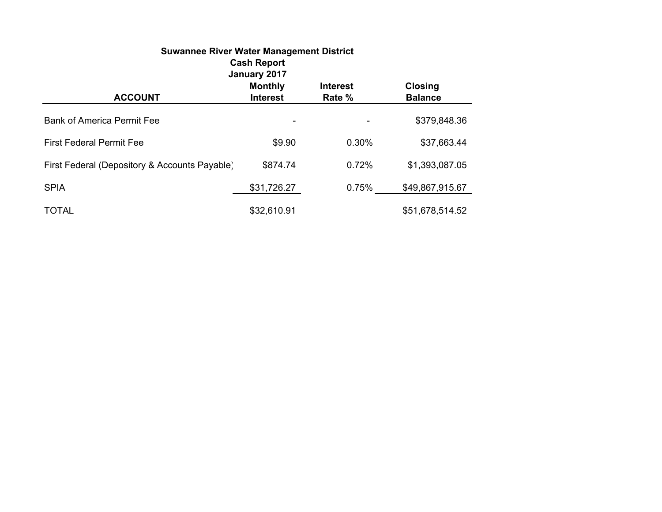| <b>Suwannee River Water Management District</b><br><b>Cash Report</b><br>January 2017                                |             |       |                 |  |  |  |  |
|----------------------------------------------------------------------------------------------------------------------|-------------|-------|-----------------|--|--|--|--|
| <b>Monthly</b><br><b>Closing</b><br><b>Interest</b><br><b>ACCOUNT</b><br>Rate %<br><b>Interest</b><br><b>Balance</b> |             |       |                 |  |  |  |  |
| <b>Bank of America Permit Fee</b>                                                                                    |             |       | \$379,848.36    |  |  |  |  |
| <b>First Federal Permit Fee</b>                                                                                      | \$9.90      | 0.30% | \$37,663.44     |  |  |  |  |
| First Federal (Depository & Accounts Payable)                                                                        | \$874.74    | 0.72% | \$1,393,087.05  |  |  |  |  |
| <b>SPIA</b>                                                                                                          | \$31,726.27 | 0.75% | \$49,867,915.67 |  |  |  |  |
| <b>TOTAL</b>                                                                                                         | \$32,610.91 |       | \$51,678,514.52 |  |  |  |  |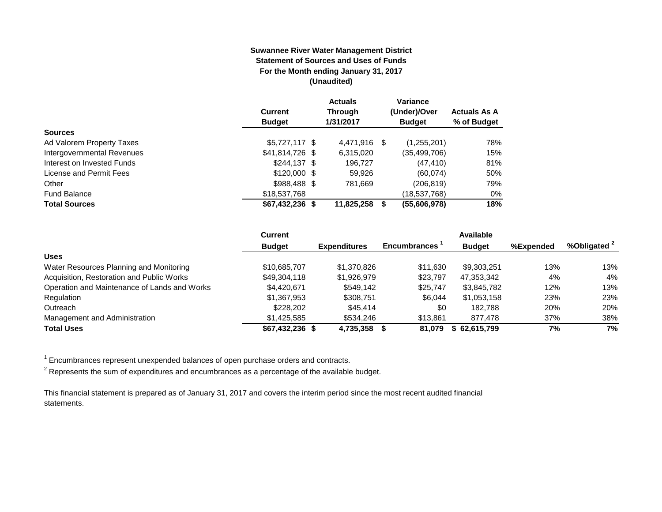#### **Suwannee River Water Management District Statement of Sources and Uses of Funds For the Month ending January 31, 2017 (Unaudited)**

|                            |                  | <b>Actuals</b> |   | <b>Variance</b> |                     |
|----------------------------|------------------|----------------|---|-----------------|---------------------|
|                            | <b>Current</b>   | <b>Through</b> |   | (Under)/Over    | <b>Actuals As A</b> |
|                            | <b>Budget</b>    | 1/31/2017      |   | <b>Budget</b>   | % of Budget         |
| <b>Sources</b>             |                  |                |   |                 |                     |
| Ad Valorem Property Taxes  | $$5,727,117$ \$  | 4.471.916      | S | (1,255,201)     | 78%                 |
| Intergovernmental Revenues | \$41,814,726 \$  | 6,315,020      |   | (35,499,706)    | 15%                 |
| Interest on Invested Funds | $$244.137$ \$    | 196.727        |   | (47, 410)       | 81%                 |
| License and Permit Fees    | $$120,000$ \$    | 59,926         |   | (60,074)        | 50%                 |
| Other                      | \$988,488 \$     | 781.669        |   | (206, 819)      | 79%                 |
| <b>Fund Balance</b>        | \$18,537,768     |                |   | (18,537,768)    | 0%                  |
| <b>Total Sources</b>       | $$67,432,236$ \$ | 11,825,258     |   | (55,606,978)    | 18%                 |

|                                              | <b>Current</b>   |                     |                     | <b>Available</b> |           |              |
|----------------------------------------------|------------------|---------------------|---------------------|------------------|-----------|--------------|
|                                              | <b>Budget</b>    | <b>Expenditures</b> | <b>Encumbrances</b> | <b>Budget</b>    | %Expended | %Obligated 2 |
| <b>Uses</b>                                  |                  |                     |                     |                  |           |              |
| Water Resources Planning and Monitoring      | \$10,685,707     | \$1,370,826         | \$11.630            | \$9,303,251      | 13%       | 13%          |
| Acquisition, Restoration and Public Works    | \$49,304,118     | \$1,926,979         | \$23,797            | 47,353,342       | 4%        | 4%           |
| Operation and Maintenance of Lands and Works | \$4,420,671      | \$549.142           | \$25,747            | \$3,845,782      | 12%       | 13%          |
| Regulation                                   | \$1.367.953      | \$308.751           | \$6.044             | \$1,053,158      | 23%       | 23%          |
| Outreach                                     | \$228,202        | \$45,414            | \$0                 | 182.788          | 20%       | 20%          |
| Management and Administration                | \$1.425.585      | \$534.246           | \$13.861            | 877.478          | 37%       | 38%          |
| <b>Total Uses</b>                            | $$67,432,236$ \$ | 4,735,358           | 81.079              | \$62,615,799     | 7%        | 7%           |

 $1$  Encumbrances represent unexpended balances of open purchase orders and contracts.

 $^{\text{2}}$  Represents the sum of expenditures and encumbrances as a percentage of the available budget.

This financial statement is prepared as of January 31, 2017 and covers the interim period since the most recent audited financial statements.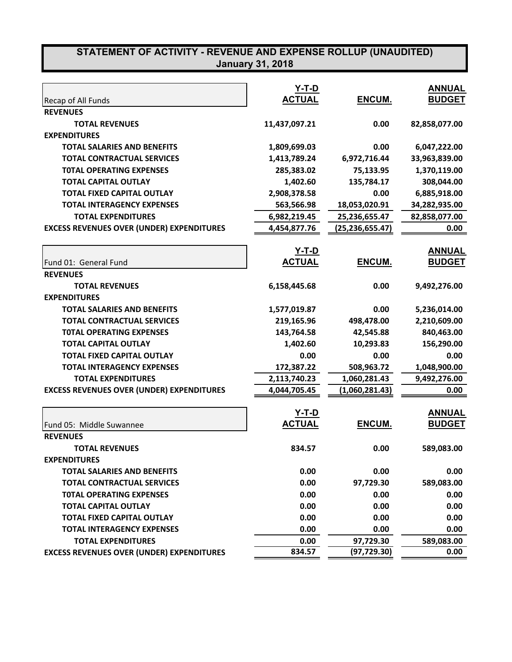|                                                  | $Y-T-D$<br><b>ACTUAL</b> | ENCUM.            | <b>ANNUAL</b><br><b>BUDGET</b> |
|--------------------------------------------------|--------------------------|-------------------|--------------------------------|
| Recap of All Funds<br><b>REVENUES</b>            |                          |                   |                                |
| <b>TOTAL REVENUES</b>                            | 11,437,097.21            | 0.00              | 82,858,077.00                  |
| <b>EXPENDITURES</b>                              |                          |                   |                                |
| <b>TOTAL SALARIES AND BENEFITS</b>               | 1,809,699.03             | 0.00              | 6,047,222.00                   |
| <b>TOTAL CONTRACTUAL SERVICES</b>                | 1,413,789.24             | 6,972,716.44      | 33,963,839.00                  |
| <b>TOTAL OPERATING EXPENSES</b>                  | 285,383.02               | 75,133.95         | 1,370,119.00                   |
| <b>TOTAL CAPITAL OUTLAY</b>                      | 1,402.60                 | 135,784.17        | 308,044.00                     |
| <b>TOTAL FIXED CAPITAL OUTLAY</b>                | 2,908,378.58             | 0.00              | 6,885,918.00                   |
|                                                  |                          |                   |                                |
| <b>TOTAL INTERAGENCY EXPENSES</b>                | 563,566.98               | 18,053,020.91     | 34,282,935.00                  |
| <b>TOTAL EXPENDITURES</b>                        | 6,982,219.45             | 25,236,655.47     | 82,858,077.00                  |
| <b>EXCESS REVENUES OVER (UNDER) EXPENDITURES</b> | 4,454,877.76             | (25, 236, 655.47) | 0.00                           |
|                                                  | <u>Y-T-D</u>             |                   | <b>ANNUAL</b>                  |
| Fund 01: General Fund                            | <b>ACTUAL</b>            | ENCUM.            | <b>BUDGET</b>                  |
| <b>REVENUES</b>                                  |                          |                   |                                |
| <b>TOTAL REVENUES</b>                            | 6,158,445.68             | 0.00              | 9,492,276.00                   |
| <b>EXPENDITURES</b>                              |                          |                   |                                |
| <b>TOTAL SALARIES AND BENEFITS</b>               | 1,577,019.87             | 0.00              | 5,236,014.00                   |
| <b>TOTAL CONTRACTUAL SERVICES</b>                | 219,165.96               | 498,478.00        | 2,210,609.00                   |
| <b>TOTAL OPERATING EXPENSES</b>                  | 143,764.58               | 42,545.88         | 840,463.00                     |
| <b>TOTAL CAPITAL OUTLAY</b>                      | 1,402.60                 | 10,293.83         | 156,290.00                     |
| <b>TOTAL FIXED CAPITAL OUTLAY</b>                | 0.00                     | 0.00              | 0.00                           |
| <b>TOTAL INTERAGENCY EXPENSES</b>                | 172,387.22               | 508,963.72        | 1,048,900.00                   |
| <b>TOTAL EXPENDITURES</b>                        | 2,113,740.23             | 1,060,281.43      | 9,492,276.00                   |
| <b>EXCESS REVENUES OVER (UNDER) EXPENDITURES</b> | 4,044,705.45             | (1,060,281.43)    | 0.00                           |
|                                                  |                          |                   |                                |
|                                                  | <u>Y-T-D</u>             |                   | <b>ANNUAL</b>                  |
| Fund 05: Middle Suwannee                         | <b>ACTUAL</b>            | ENCUM.            | <b>BUDGET</b>                  |
| <b>REVENUES</b>                                  |                          |                   |                                |
| <b>TOTAL REVENUES</b>                            | 834.57                   | 0.00              | 589,083.00                     |
| <b>EXPENDITURES</b>                              |                          |                   |                                |
| <b>TOTAL SALARIES AND BENEFITS</b>               | 0.00                     | 0.00              | 0.00                           |
| <b>TOTAL CONTRACTUAL SERVICES</b>                | 0.00                     | 97,729.30         | 589,083.00                     |
| <b>TOTAL OPERATING EXPENSES</b>                  | 0.00                     | 0.00              | 0.00                           |
| <b>TOTAL CAPITAL OUTLAY</b>                      | 0.00                     | 0.00              | 0.00                           |
| <b>TOTAL FIXED CAPITAL OUTLAY</b>                | 0.00                     | 0.00              | 0.00                           |
| <b>TOTAL INTERAGENCY EXPENSES</b>                | 0.00                     | 0.00              | 0.00                           |
| <b>TOTAL EXPENDITURES</b>                        | 0.00                     | 97,729.30         | 589,083.00                     |
| <b>EXCESS REVENUES OVER (UNDER) EXPENDITURES</b> | 834.57                   | (97, 729.30)      | 0.00                           |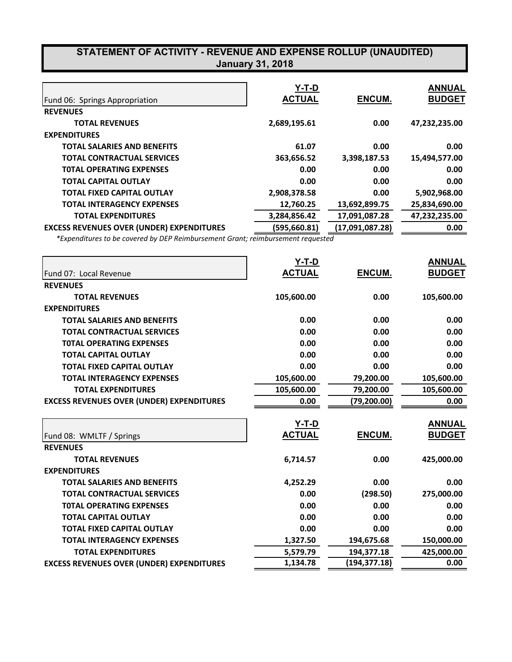| Fund 06: Springs Appropriation                   | Y-T-D<br><b>ACTUAL</b> | ENCUM.          | <b>ANNUAL</b><br><b>BUDGET</b> |
|--------------------------------------------------|------------------------|-----------------|--------------------------------|
|                                                  |                        |                 |                                |
| <b>REVENUES</b>                                  |                        |                 |                                |
| <b>TOTAL REVENUES</b>                            | 2,689,195.61           | 0.00            | 47,232,235.00                  |
| <b>EXPENDITURES</b>                              |                        |                 |                                |
| <b>TOTAL SALARIES AND BENEFITS</b>               | 61.07                  | 0.00            | 0.00                           |
| <b>TOTAL CONTRACTUAL SERVICES</b>                | 363,656.52             | 3,398,187.53    | 15,494,577.00                  |
| <b>TOTAL OPERATING EXPENSES</b>                  | 0.00                   | 0.00            | 0.00                           |
| <b>TOTAL CAPITAL OUTLAY</b>                      | 0.00                   | 0.00            | 0.00                           |
| <b>TOTAL FIXED CAPITAL OUTLAY</b>                | 2,908,378.58           | 0.00            | 5,902,968.00                   |
| <b>TOTAL INTERAGENCY EXPENSES</b>                | 12.760.25              | 13,692,899.75   | 25,834,690.00                  |
| <b>TOTAL EXPENDITURES</b>                        | 3,284,856.42           | 17,091,087.28   | 47,232,235.00                  |
| <b>EXCESS REVENUES OVER (UNDER) EXPENDITURES</b> | (595,660.81)           | (17,091,087.28) | 0.00                           |

*\*Expenditures to be covered by DEP Reimbursement Grant; reimbursement requested*

|                                                  | Y-T-D         |                             | <b>ANNUAL</b> |
|--------------------------------------------------|---------------|-----------------------------|---------------|
| Fund 07: Local Revenue                           | <b>ACTUAL</b> | ENCUM.                      | <b>BUDGET</b> |
| <b>REVENUES</b>                                  |               |                             |               |
| <b>TOTAL REVENUES</b>                            | 105,600.00    | 0.00                        | 105,600.00    |
| <b>EXPENDITURES</b>                              |               |                             |               |
| <b>TOTAL SALARIES AND BENEFITS</b>               | 0.00          | 0.00                        | 0.00          |
| <b>TOTAL CONTRACTUAL SERVICES</b>                | 0.00          | 0.00                        | 0.00          |
| <b>TOTAL OPERATING EXPENSES</b>                  | 0.00          | 0.00                        | 0.00          |
| <b>TOTAL CAPITAL OUTLAY</b>                      | 0.00          | 0.00                        | 0.00          |
| <b>TOTAL FIXED CAPITAL OUTLAY</b>                | 0.00          | 0.00                        | 0.00          |
| <b>TOTAL INTERAGENCY EXPENSES</b>                | 105,600.00    | 79,200.00                   | 105,600.00    |
| <b>TOTAL EXPENDITURES</b>                        | 105,600.00    | 79,200.00                   | 105,600.00    |
| <b>EXCESS REVENUES OVER (UNDER) EXPENDITURES</b> | 0.00          | (79, 200.00)                | 0.00          |
|                                                  |               |                             |               |
|                                                  | <u>Y-T-D</u>  |                             | <b>ANNUAL</b> |
| Fund 08: WMLTF / Springs                         | <b>ACTUAL</b> | ENCUM.                      | <b>BUDGET</b> |
| <b>REVENUES</b>                                  |               |                             |               |
| <b>TOTAL REVENUES</b>                            | 6,714.57      | 0.00                        | 425,000.00    |
|                                                  |               |                             |               |
| <b>EXPENDITURES</b>                              |               |                             |               |
| <b>TOTAL SALARIES AND BENEFITS</b>               | 4,252.29      | 0.00                        | 0.00          |
| <b>TOTAL CONTRACTUAL SERVICES</b>                | 0.00          | (298.50)                    | 275,000.00    |
| <b>TOTAL OPERATING EXPENSES</b>                  | 0.00          | 0.00                        | 0.00          |
| <b>TOTAL CAPITAL OUTLAY</b>                      | 0.00          | 0.00                        | 0.00          |
| <b>TOTAL FIXED CAPITAL OUTLAY</b>                | 0.00          | 0.00                        | 0.00          |
| <b>TOTAL INTERAGENCY EXPENSES</b>                | 1,327.50      | 194,675.68                  | 150,000.00    |
| <b>TOTAL EXPENDITURES</b>                        | 5,579.79      | 194,377.18<br>(194, 377.18) | 425,000.00    |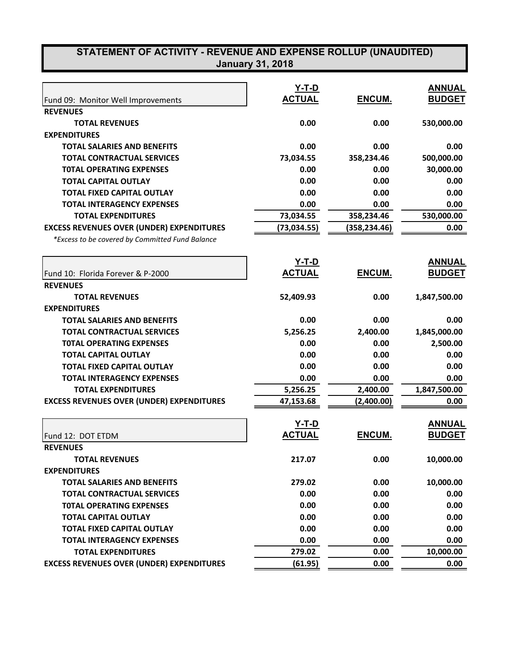| <b>January 31, 2018</b> |  |  |
|-------------------------|--|--|
|                         |  |  |
|                         |  |  |
|                         |  |  |

|                                                  | <u>Y-T-D</u>  |               | <b>ANNUAL</b> |
|--------------------------------------------------|---------------|---------------|---------------|
| Fund 09: Monitor Well Improvements               | <b>ACTUAL</b> | ENCUM.        | <b>BUDGET</b> |
| <b>REVENUES</b>                                  |               |               |               |
| <b>TOTAL REVENUES</b>                            | 0.00          | 0.00          | 530,000.00    |
| <b>EXPENDITURES</b>                              |               |               |               |
| <b>TOTAL SALARIES AND BENEFITS</b>               | 0.00          | 0.00          | 0.00          |
| <b>TOTAL CONTRACTUAL SERVICES</b>                | 73,034.55     | 358,234.46    | 500,000.00    |
| <b>TOTAL OPERATING EXPENSES</b>                  | 0.00          | 0.00          | 30,000.00     |
| <b>TOTAL CAPITAL OUTLAY</b>                      | 0.00          | 0.00          | 0.00          |
| <b>TOTAL FIXED CAPITAL OUTLAY</b>                | 0.00          | 0.00          | 0.00          |
| <b>TOTAL INTERAGENCY EXPENSES</b>                | 0.00          | 0.00          | 0.00          |
| <b>TOTAL EXPENDITURES</b>                        | 73,034.55     | 358,234.46    | 530,000.00    |
| <b>EXCESS REVENUES OVER (UNDER) EXPENDITURES</b> | (73, 034.55)  | (358,234.46)  | 0.00          |
| *Excess to be covered by Committed Fund Balance  |               |               |               |
|                                                  | Y-T-D         |               | <b>ANNUAL</b> |
| Fund 10: Florida Forever & P-2000                | <b>ACTUAL</b> | <b>ENCUM.</b> | <b>BUDGET</b> |
| <b>REVENUES</b>                                  |               |               |               |
| <b>TOTAL REVENUES</b>                            | 52,409.93     | 0.00          | 1,847,500.00  |
| <b>EXPENDITURES</b>                              |               |               |               |
| <b>TOTAL SALARIES AND BENEFITS</b>               | 0.00          | 0.00          | 0.00          |
| <b>TOTAL CONTRACTUAL SERVICES</b>                | 5,256.25      | 2,400.00      | 1,845,000.00  |
| <b>TOTAL OPERATING EXPENSES</b>                  | 0.00          | 0.00          | 2,500.00      |
| <b>TOTAL CAPITAL OUTLAY</b>                      | 0.00          | 0.00          | 0.00          |
| <b>TOTAL FIXED CAPITAL OUTLAY</b>                | 0.00          | 0.00          | 0.00          |
| <b>TOTAL INTERAGENCY EXPENSES</b>                | 0.00          | 0.00          | 0.00          |
| <b>TOTAL EXPENDITURES</b>                        | 5,256.25      | 2,400.00      | 1,847,500.00  |
| <b>EXCESS REVENUES OVER (UNDER) EXPENDITURES</b> | 47,153.68     | (2,400.00)    | 0.00          |
|                                                  | Y-T-D         |               | <b>ANNUAL</b> |
| Fund 12: DOT ETDM                                | <b>ACTUAL</b> | ENCUM.        | <b>BUDGET</b> |
| <b>REVENUES</b>                                  |               |               |               |
| <b>TOTAL REVENUES</b>                            | 217.07        | 0.00          | 10,000.00     |
| <b>EXPENDITURES</b>                              |               |               |               |
| <b>TOTAL SALARIES AND BENEFITS</b>               | 279.02        | 0.00          | 10,000.00     |
| <b>TOTAL CONTRACTUAL SERVICES</b>                | 0.00          | 0.00          | 0.00          |
| <b>TOTAL OPERATING EXPENSES</b>                  | 0.00          | 0.00          | 0.00          |
| <b>TOTAL CAPITAL OUTLAY</b>                      | 0.00          | 0.00          | 0.00          |
| <b>TOTAL FIXED CAPITAL OUTLAY</b>                | 0.00          | 0.00          | 0.00          |
| <b>TOTAL INTERAGENCY EXPENSES</b>                | 0.00          | 0.00          | 0.00          |
| <b>TOTAL EXPENDITURES</b>                        | 279.02        | 0.00          | 10,000.00     |
| <b>EXCESS REVENUES OVER (UNDER) EXPENDITURES</b> | (61.95)       | 0.00          | 0.00          |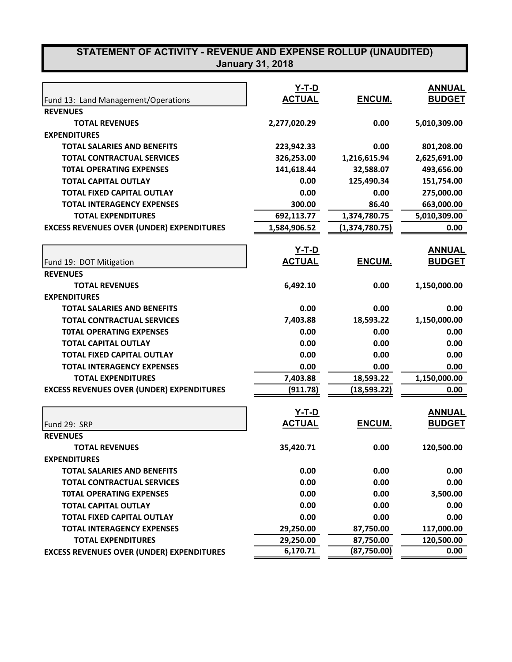|                                                  | <u>Y-T-D</u>  |                | <b>ANNUAL</b> |
|--------------------------------------------------|---------------|----------------|---------------|
| Fund 13: Land Management/Operations              | <b>ACTUAL</b> | ENCUM.         | <b>BUDGET</b> |
| <b>REVENUES</b>                                  |               |                |               |
| <b>TOTAL REVENUES</b>                            | 2,277,020.29  | 0.00           | 5,010,309.00  |
| <b>EXPENDITURES</b>                              |               |                |               |
| <b>TOTAL SALARIES AND BENEFITS</b>               | 223,942.33    | 0.00           | 801,208.00    |
| <b>TOTAL CONTRACTUAL SERVICES</b>                | 326,253.00    | 1,216,615.94   | 2,625,691.00  |
| <b>TOTAL OPERATING EXPENSES</b>                  | 141,618.44    | 32,588.07      | 493,656.00    |
| <b>TOTAL CAPITAL OUTLAY</b>                      | 0.00          | 125,490.34     | 151,754.00    |
| <b>TOTAL FIXED CAPITAL OUTLAY</b>                | 0.00          | 0.00           | 275,000.00    |
| <b>TOTAL INTERAGENCY EXPENSES</b>                | 300.00        | 86.40          | 663,000.00    |
| <b>TOTAL EXPENDITURES</b>                        | 692,113.77    | 1,374,780.75   | 5,010,309.00  |
| <b>EXCESS REVENUES OVER (UNDER) EXPENDITURES</b> | 1,584,906.52  | (1,374,780.75) | 0.00          |
|                                                  |               |                |               |
|                                                  | <u>Y-T-D</u>  |                | <b>ANNUAL</b> |
| Fund 19: DOT Mitigation                          | <b>ACTUAL</b> | ENCUM.         | <b>BUDGET</b> |
| <b>REVENUES</b>                                  |               |                |               |
| <b>TOTAL REVENUES</b>                            | 6,492.10      | 0.00           | 1,150,000.00  |
| <b>EXPENDITURES</b>                              |               |                |               |
| <b>TOTAL SALARIES AND BENEFITS</b>               | 0.00          | 0.00           | 0.00          |
| <b>TOTAL CONTRACTUAL SERVICES</b>                | 7,403.88      | 18,593.22      | 1,150,000.00  |
| <b>TOTAL OPERATING EXPENSES</b>                  | 0.00          | 0.00           | 0.00          |
| <b>TOTAL CAPITAL OUTLAY</b>                      | 0.00          | 0.00           | 0.00          |
| <b>TOTAL FIXED CAPITAL OUTLAY</b>                | 0.00          | 0.00           | 0.00          |
| <b>TOTAL INTERAGENCY EXPENSES</b>                | 0.00          | 0.00           | 0.00          |
| <b>TOTAL EXPENDITURES</b>                        | 7,403.88      | 18,593.22      | 1,150,000.00  |
| <b>EXCESS REVENUES OVER (UNDER) EXPENDITURES</b> | (911.78)      | (18,593.22)    | 0.00          |
|                                                  | Y-T-D         |                | <b>ANNUAL</b> |
| Fund 29: SRP                                     | <b>ACTUAL</b> | ENCUM.         | <b>BUDGET</b> |
| <b>REVENUES</b>                                  |               |                |               |
| <b>TOTAL REVENUES</b>                            | 35,420.71     | 0.00           | 120,500.00    |
| <b>EXPENDITURES</b>                              |               |                |               |
| <b>TOTAL SALARIES AND BENEFITS</b>               | 0.00          | 0.00           | 0.00          |
| <b>TOTAL CONTRACTUAL SERVICES</b>                | 0.00          | 0.00           | 0.00          |
| <b>TOTAL OPERATING EXPENSES</b>                  | 0.00          | 0.00           | 3,500.00      |
| <b>TOTAL CAPITAL OUTLAY</b>                      | 0.00          | 0.00           | 0.00          |
| <b>TOTAL FIXED CAPITAL OUTLAY</b>                | 0.00          | 0.00           | 0.00          |
| <b>TOTAL INTERAGENCY EXPENSES</b>                | 29,250.00     | 87,750.00      | 117,000.00    |
| <b>TOTAL EXPENDITURES</b>                        | 29,250.00     | 87,750.00      | 120,500.00    |
| <b>EXCESS REVENUES OVER (UNDER) EXPENDITURES</b> | 6,170.71      | (87,750.00)    | 0.00          |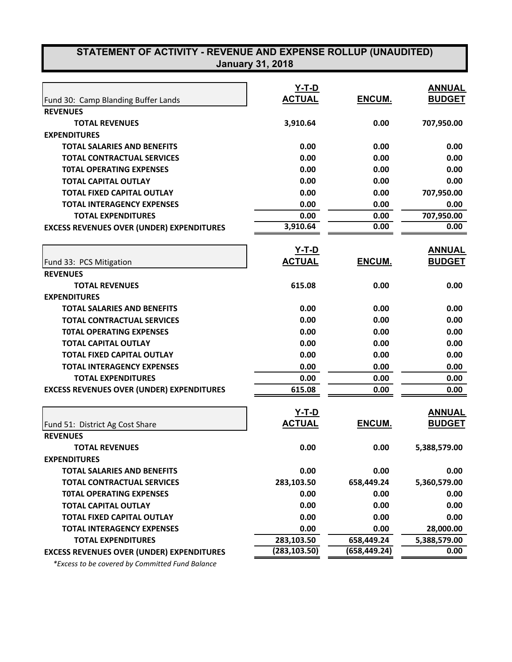| STATEMENT OF ACTIVITY - REVENUE AND EXPENSE ROLLUP (UNAUDITED) | <b>January 31, 2018</b> |               |               |
|----------------------------------------------------------------|-------------------------|---------------|---------------|
|                                                                |                         |               |               |
|                                                                | <u>Y-T-D</u>            |               | <b>ANNUAL</b> |
| Fund 30: Camp Blanding Buffer Lands                            | <b>ACTUAL</b>           | ENCUM.        | <b>BUDGET</b> |
| <b>REVENUES</b>                                                |                         |               |               |
| <b>TOTAL REVENUES</b>                                          | 3,910.64                | 0.00          | 707,950.00    |
| <b>EXPENDITURES</b>                                            |                         |               |               |
| <b>TOTAL SALARIES AND BENEFITS</b>                             | 0.00                    | 0.00          | 0.00          |
| <b>TOTAL CONTRACTUAL SERVICES</b>                              | 0.00                    | 0.00          | 0.00          |
| <b>TOTAL OPERATING EXPENSES</b>                                | 0.00                    | 0.00          | 0.00          |
| <b>TOTAL CAPITAL OUTLAY</b>                                    | 0.00                    | 0.00          | 0.00          |
| <b>TOTAL FIXED CAPITAL OUTLAY</b>                              | 0.00                    | 0.00          | 707,950.00    |
| <b>TOTAL INTERAGENCY EXPENSES</b>                              | 0.00                    | 0.00          | 0.00          |
| <b>TOTAL EXPENDITURES</b>                                      | 0.00                    | 0.00          | 707,950.00    |
| <b>EXCESS REVENUES OVER (UNDER) EXPENDITURES</b>               | 3,910.64                | 0.00          | 0.00          |
|                                                                | $Y-T-D$                 |               | <b>ANNUAL</b> |
| Fund 33: PCS Mitigation                                        | <b>ACTUAL</b>           | ENCUM.        | <b>BUDGET</b> |
| <b>REVENUES</b>                                                |                         |               |               |
| <b>TOTAL REVENUES</b>                                          | 615.08                  | 0.00          | 0.00          |
| <b>EXPENDITURES</b>                                            |                         |               |               |
| <b>TOTAL SALARIES AND BENEFITS</b>                             | 0.00                    | 0.00          | 0.00          |
| <b>TOTAL CONTRACTUAL SERVICES</b>                              | 0.00                    | 0.00          | 0.00          |
| <b>TOTAL OPERATING EXPENSES</b>                                | 0.00                    | 0.00          | 0.00          |
| <b>TOTAL CAPITAL OUTLAY</b>                                    | 0.00                    | 0.00          | 0.00          |
| <b>TOTAL FIXED CAPITAL OUTLAY</b>                              | 0.00                    | 0.00          | 0.00          |
| <b>TOTAL INTERAGENCY EXPENSES</b>                              | 0.00                    | 0.00          | 0.00          |
| <b>TOTAL EXPENDITURES</b>                                      | 0.00                    | 0.00          | 0.00          |
| <b>EXCESS REVENUES OVER (UNDER) EXPENDITURES</b>               | 615.08                  | 0.00          | 0.00          |
|                                                                | Y-T-D                   |               | <b>ANNUAL</b> |
| Fund 51: District Ag Cost Share                                | <b>ACTUAL</b>           | ENCUM.        | <u>BUDGET</u> |
| <b>REVENUES</b>                                                |                         |               |               |
| <b>TOTAL REVENUES</b>                                          | 0.00                    | 0.00          | 5,388,579.00  |
| <b>EXPENDITURES</b>                                            |                         |               |               |
| <b>TOTAL SALARIES AND BENEFITS</b>                             | 0.00                    | 0.00          | 0.00          |
| <b>TOTAL CONTRACTUAL SERVICES</b>                              | 283,103.50              | 658,449.24    | 5,360,579.00  |
| <b>TOTAL OPERATING EXPENSES</b>                                | 0.00                    | 0.00          | 0.00          |
| <b>TOTAL CAPITAL OUTLAY</b>                                    | 0.00                    | 0.00          | 0.00          |
| <b>TOTAL FIXED CAPITAL OUTLAY</b>                              | 0.00                    | 0.00          | 0.00          |
| <b>TOTAL INTERAGENCY EXPENSES</b>                              | 0.00                    | 0.00          | 28,000.00     |
| <b>TOTAL EXPENDITURES</b>                                      | 283,103.50              | 658,449.24    | 5,388,579.00  |
| <b>EXCESS REVENUES OVER (UNDER) EXPENDITURES</b>               | (283, 103.50)           | (658, 449.24) | 0.00          |

 *\*Excess to be covered by Committed Fund Balance*